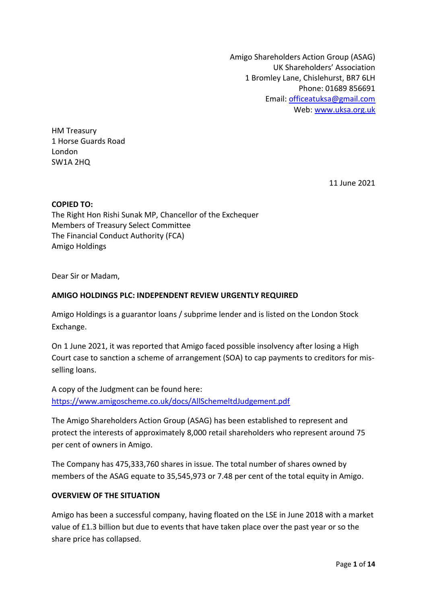Amigo Shareholders Action Group (ASAG) UK Shareholders' Association 1 Bromley Lane, Chislehurst, BR7 6LH Phone: 01689 856691 Email[: officeatuksa@gmail.com](mailto:officeatuksa@gmail.com) Web: [www.uksa.org.uk](http://www.uksa.org.uk/)

HM Treasury 1 Horse Guards Road London SW1A 2HQ

11 June 2021

#### **COPIED TO:**

The Right Hon Rishi Sunak MP, Chancellor of the Exchequer Members of Treasury Select Committee The Financial Conduct Authority (FCA) Amigo Holdings

Dear Sir or Madam,

#### **AMIGO HOLDINGS PLC: INDEPENDENT REVIEW URGENTLY REQUIRED**

Amigo Holdings is a guarantor loans / subprime lender and is listed on the London Stock Exchange.

On 1 June 2021, it was reported that Amigo faced possible insolvency after losing a High Court case to sanction a scheme of arrangement (SOA) to cap payments to creditors for misselling loans.

A copy of the Judgment can be found here: <https://www.amigoscheme.co.uk/docs/AllSchemeltdJudgement.pdf>

The Amigo Shareholders Action Group (ASAG) has been established to represent and protect the interests of approximately 8,000 retail shareholders who represent around 75 per cent of owners in Amigo.

The Company has 475,333,760 shares in issue. The total number of shares owned by members of the ASAG equate to 35,545,973 or 7.48 per cent of the total equity in Amigo.

#### **OVERVIEW OF THE SITUATION**

Amigo has been a successful company, having floated on the LSE in June 2018 with a market value of £1.3 billion but due to events that have taken place over the past year or so the share price has collapsed.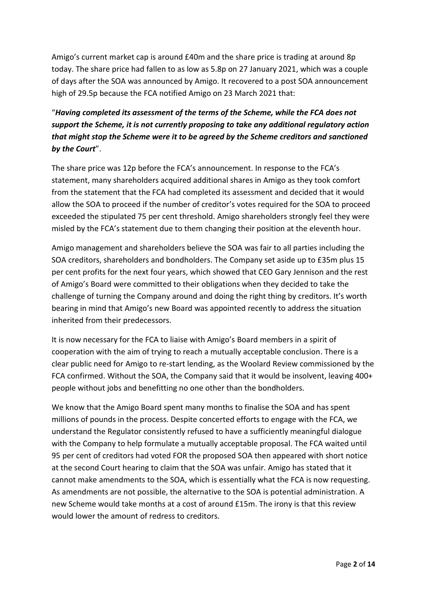Amigo's current market cap is around £40m and the share price is trading at around 8p today. The share price had fallen to as low as 5.8p on 27 January 2021, which was a couple of days after the SOA was announced by Amigo. It recovered to a post SOA announcement high of 29.5p because the FCA notified Amigo on 23 March 2021 that:

# "*Having completed its assessment of the terms of the Scheme, while the FCA does not support the Scheme, it is not currently proposing to take any additional regulatory action that might stop the Scheme were it to be agreed by the Scheme creditors and sanctioned by the Court*".

The share price was 12p before the FCA's announcement. In response to the FCA's statement, many shareholders acquired additional shares in Amigo as they took comfort from the statement that the FCA had completed its assessment and decided that it would allow the SOA to proceed if the number of creditor's votes required for the SOA to proceed exceeded the stipulated 75 per cent threshold. Amigo shareholders strongly feel they were misled by the FCA's statement due to them changing their position at the eleventh hour.

Amigo management and shareholders believe the SOA was fair to all parties including the SOA creditors, shareholders and bondholders. The Company set aside up to £35m plus 15 per cent profits for the next four years, which showed that CEO Gary Jennison and the rest of Amigo's Board were committed to their obligations when they decided to take the challenge of turning the Company around and doing the right thing by creditors. It's worth bearing in mind that Amigo's new Board was appointed recently to address the situation inherited from their predecessors.

It is now necessary for the FCA to liaise with Amigo's Board members in a spirit of cooperation with the aim of trying to reach a mutually acceptable conclusion. There is a clear public need for Amigo to re-start lending, as the Woolard Review commissioned by the FCA confirmed. Without the SOA, the Company said that it would be insolvent, leaving 400+ people without jobs and benefitting no one other than the bondholders.

We know that the Amigo Board spent many months to finalise the SOA and has spent millions of pounds in the process. Despite concerted efforts to engage with the FCA, we understand the Regulator consistently refused to have a sufficiently meaningful dialogue with the Company to help formulate a mutually acceptable proposal. The FCA waited until 95 per cent of creditors had voted FOR the proposed SOA then appeared with short notice at the second Court hearing to claim that the SOA was unfair. Amigo has stated that it cannot make amendments to the SOA, which is essentially what the FCA is now requesting. As amendments are not possible, the alternative to the SOA is potential administration. A new Scheme would take months at a cost of around £15m. The irony is that this review would lower the amount of redress to creditors.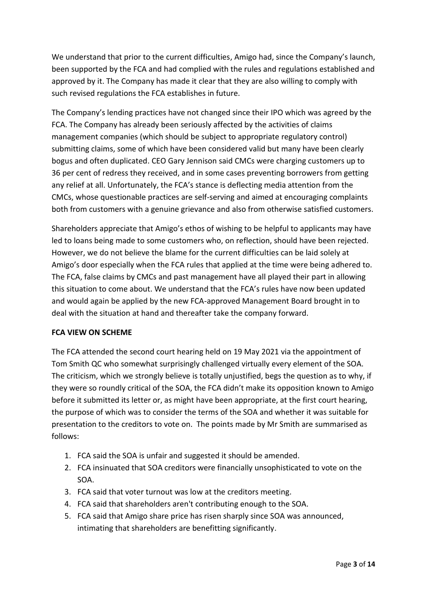We understand that prior to the current difficulties, Amigo had, since the Company's launch, been supported by the FCA and had complied with the rules and regulations established and approved by it. The Company has made it clear that they are also willing to comply with such revised regulations the FCA establishes in future.

The Company's lending practices have not changed since their IPO which was agreed by the FCA. The Company has already been seriously affected by the activities of claims management companies (which should be subject to appropriate regulatory control) submitting claims, some of which have been considered valid but many have been clearly bogus and often duplicated. CEO Gary Jennison said CMCs were charging customers up to 36 per cent of redress they received, and in some cases preventing borrowers from getting any relief at all. Unfortunately, the FCA's stance is deflecting media attention from the CMCs, whose questionable practices are self-serving and aimed at encouraging complaints both from customers with a genuine grievance and also from otherwise satisfied customers.

Shareholders appreciate that Amigo's ethos of wishing to be helpful to applicants may have led to loans being made to some customers who, on reflection, should have been rejected. However, we do not believe the blame for the current difficulties can be laid solely at Amigo's door especially when the FCA rules that applied at the time were being adhered to. The FCA, false claims by CMCs and past management have all played their part in allowing this situation to come about. We understand that the FCA's rules have now been updated and would again be applied by the new FCA-approved Management Board brought in to deal with the situation at hand and thereafter take the company forward.

#### **FCA VIEW ON SCHEME**

The FCA attended the second court hearing held on 19 May 2021 via the appointment of Tom Smith QC who somewhat surprisingly challenged virtually every element of the SOA. The criticism, which we strongly believe is totally unjustified, begs the question as to why, if they were so roundly critical of the SOA, the FCA didn't make its opposition known to Amigo before it submitted its letter or, as might have been appropriate, at the first court hearing, the purpose of which was to consider the terms of the SOA and whether it was suitable for presentation to the creditors to vote on. The points made by Mr Smith are summarised as follows:

- 1. FCA said the SOA is unfair and suggested it should be amended.
- 2. FCA insinuated that SOA creditors were financially unsophisticated to vote on the SOA.
- 3. FCA said that voter turnout was low at the creditors meeting.
- 4. FCA said that shareholders aren't contributing enough to the SOA.
- 5. FCA said that Amigo share price has risen sharply since SOA was announced, intimating that shareholders are benefitting significantly.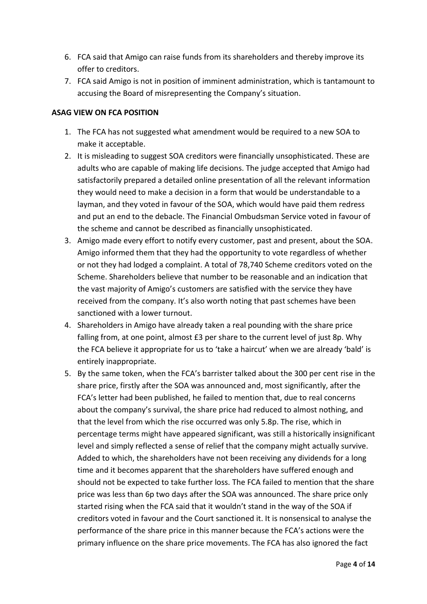- 6. FCA said that Amigo can raise funds from its shareholders and thereby improve its offer to creditors.
- 7. FCA said Amigo is not in position of imminent administration, which is tantamount to accusing the Board of misrepresenting the Company's situation.

## **ASAG VIEW ON FCA POSITION**

- 1. The FCA has not suggested what amendment would be required to a new SOA to make it acceptable.
- 2. It is misleading to suggest SOA creditors were financially unsophisticated. These are adults who are capable of making life decisions. The judge accepted that Amigo had satisfactorily prepared a detailed online presentation of all the relevant information they would need to make a decision in a form that would be understandable to a layman, and they voted in favour of the SOA, which would have paid them redress and put an end to the debacle. The Financial Ombudsman Service voted in favour of the scheme and cannot be described as financially unsophisticated.
- 3. Amigo made every effort to notify every customer, past and present, about the SOA. Amigo informed them that they had the opportunity to vote regardless of whether or not they had lodged a complaint. A total of 78,740 Scheme creditors voted on the Scheme. Shareholders believe that number to be reasonable and an indication that the vast majority of Amigo's customers are satisfied with the service they have received from the company. It's also worth noting that past schemes have been sanctioned with a lower turnout.
- 4. Shareholders in Amigo have already taken a real pounding with the share price falling from, at one point, almost £3 per share to the current level of just 8p. Why the FCA believe it appropriate for us to 'take a haircut' when we are already 'bald' is entirely inappropriate.
- 5. By the same token, when the FCA's barrister talked about the 300 per cent rise in the share price, firstly after the SOA was announced and, most significantly, after the FCA's letter had been published, he failed to mention that, due to real concerns about the company's survival, the share price had reduced to almost nothing, and that the level from which the rise occurred was only 5.8p. The rise, which in percentage terms might have appeared significant, was still a historically insignificant level and simply reflected a sense of relief that the company might actually survive. Added to which, the shareholders have not been receiving any dividends for a long time and it becomes apparent that the shareholders have suffered enough and should not be expected to take further loss. The FCA failed to mention that the share price was less than 6p two days after the SOA was announced. The share price only started rising when the FCA said that it wouldn't stand in the way of the SOA if creditors voted in favour and the Court sanctioned it. It is nonsensical to analyse the performance of the share price in this manner because the FCA's actions were the primary influence on the share price movements. The FCA has also ignored the fact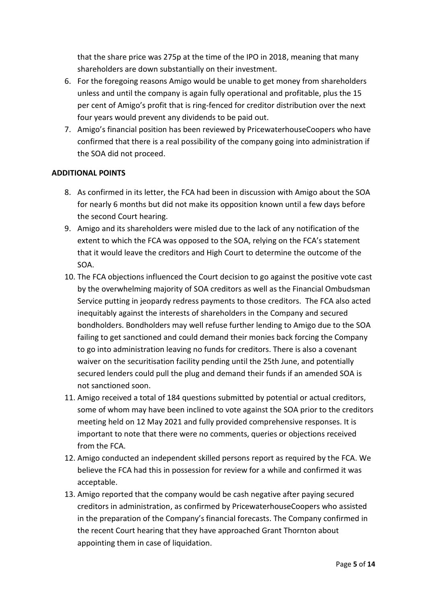that the share price was 275p at the time of the IPO in 2018, meaning that many shareholders are down substantially on their investment.

- 6. For the foregoing reasons Amigo would be unable to get money from shareholders unless and until the company is again fully operational and profitable, plus the 15 per cent of Amigo's profit that is ring-fenced for creditor distribution over the next four years would prevent any dividends to be paid out.
- 7. Amigo's financial position has been reviewed by PricewaterhouseCoopers who have confirmed that there is a real possibility of the company going into administration if the SOA did not proceed.

## **ADDITIONAL POINTS**

- 8. As confirmed in its letter, the FCA had been in discussion with Amigo about the SOA for nearly 6 months but did not make its opposition known until a few days before the second Court hearing.
- 9. Amigo and its shareholders were misled due to the lack of any notification of the extent to which the FCA was opposed to the SOA, relying on the FCA's statement that it would leave the creditors and High Court to determine the outcome of the SOA.
- 10. The FCA objections influenced the Court decision to go against the positive vote cast by the overwhelming majority of SOA creditors as well as the Financial Ombudsman Service putting in jeopardy redress payments to those creditors. The FCA also acted inequitably against the interests of shareholders in the Company and secured bondholders. Bondholders may well refuse further lending to Amigo due to the SOA failing to get sanctioned and could demand their monies back forcing the Company to go into administration leaving no funds for creditors. There is also a covenant waiver on the securitisation facility pending until the 25th June, and potentially secured lenders could pull the plug and demand their funds if an amended SOA is not sanctioned soon.
- 11. Amigo received a total of 184 questions submitted by potential or actual creditors, some of whom may have been inclined to vote against the SOA prior to the creditors meeting held on 12 May 2021 and fully provided comprehensive responses. It is important to note that there were no comments, queries or objections received from the FCA.
- 12. Amigo conducted an independent skilled persons report as required by the FCA. We believe the FCA had this in possession for review for a while and confirmed it was acceptable.
- 13. Amigo reported that the company would be cash negative after paying secured creditors in administration, as confirmed by PricewaterhouseCoopers who assisted in the preparation of the Company's financial forecasts. The Company confirmed in the recent Court hearing that they have approached Grant Thornton about appointing them in case of liquidation.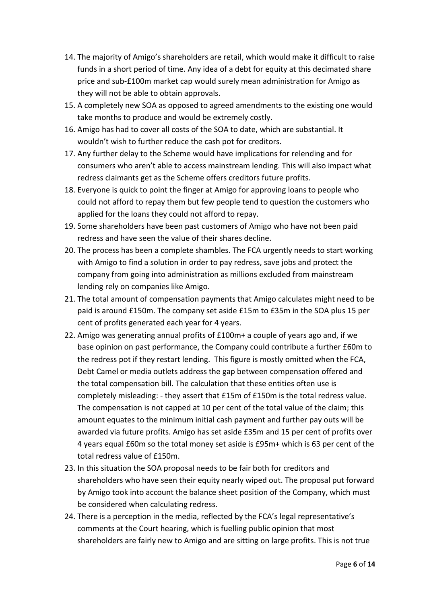- 14. The majority of Amigo's shareholders are retail, which would make it difficult to raise funds in a short period of time. Any idea of a debt for equity at this decimated share price and sub-£100m market cap would surely mean administration for Amigo as they will not be able to obtain approvals.
- 15. A completely new SOA as opposed to agreed amendments to the existing one would take months to produce and would be extremely costly.
- 16. Amigo has had to cover all costs of the SOA to date, which are substantial. It wouldn't wish to further reduce the cash pot for creditors.
- 17. Any further delay to the Scheme would have implications for relending and for consumers who aren't able to access mainstream lending. This will also impact what redress claimants get as the Scheme offers creditors future profits.
- 18. Everyone is quick to point the finger at Amigo for approving loans to people who could not afford to repay them but few people tend to question the customers who applied for the loans they could not afford to repay.
- 19. Some shareholders have been past customers of Amigo who have not been paid redress and have seen the value of their shares decline.
- 20. The process has been a complete shambles. The FCA urgently needs to start working with Amigo to find a solution in order to pay redress, save jobs and protect the company from going into administration as millions excluded from mainstream lending rely on companies like Amigo.
- 21. The total amount of compensation payments that Amigo calculates might need to be paid is around £150m. The company set aside £15m to £35m in the SOA plus 15 per cent of profits generated each year for 4 years.
- 22. Amigo was generating annual profits of £100m+ a couple of years ago and, if we base opinion on past performance, the Company could contribute a further £60m to the redress pot if they restart lending. This figure is mostly omitted when the FCA, Debt Camel or media outlets address the gap between compensation offered and the total compensation bill. The calculation that these entities often use is completely misleading: - they assert that £15m of £150m is the total redress value. The compensation is not capped at 10 per cent of the total value of the claim; this amount equates to the minimum initial cash payment and further pay outs will be awarded via future profits. Amigo has set aside £35m and 15 per cent of profits over 4 years equal £60m so the total money set aside is £95m+ which is 63 per cent of the total redress value of £150m.
- 23. In this situation the SOA proposal needs to be fair both for creditors and shareholders who have seen their equity nearly wiped out. The proposal put forward by Amigo took into account the balance sheet position of the Company, which must be considered when calculating redress.
- 24. There is a perception in the media, reflected by the FCA's legal representative's comments at the Court hearing, which is fuelling public opinion that most shareholders are fairly new to Amigo and are sitting on large profits. This is not true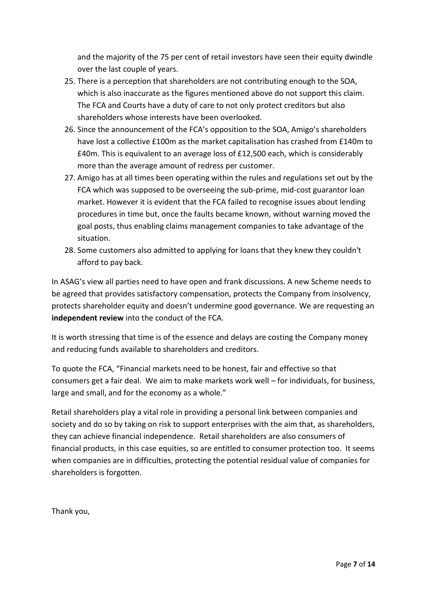and the majority of the 75 per cent of retail investors have seen their equity dwindle over the last couple of years.

- 25. There is a perception that shareholders are not contributing enough to the SOA, which is also inaccurate as the figures mentioned above do not support this claim. The FCA and Courts have a duty of care to not only protect creditors but also shareholders whose interests have been overlooked.
- 26. Since the announcement of the FCA's opposition to the SOA, Amigo's shareholders have lost a collective £100m as the market capitalisation has crashed from £140m to £40m. This is equivalent to an average loss of £12,500 each, which is considerably more than the average amount of redress per customer.
- 27. Amigo has at all times been operating within the rules and regulations set out by the FCA which was supposed to be overseeing the sub-prime, mid-cost guarantor loan market. However it is evident that the FCA failed to recognise issues about lending procedures in time but, once the faults became known, without warning moved the goal posts, thus enabling claims management companies to take advantage of the situation.
- 28. Some customers also admitted to applying for loans that they knew they couldn't afford to pay back.

In ASAG's view all parties need to have open and frank discussions. A new Scheme needs to be agreed that provides satisfactory compensation, protects the Company from insolvency, protects shareholder equity and doesn't undermine good governance. We are requesting an **independent review** into the conduct of the FCA.

It is worth stressing that time is of the essence and delays are costing the Company money and reducing funds available to shareholders and creditors.

To quote the FCA, "Financial markets need to be honest, fair and effective so that consumers get a fair deal. We aim to make markets work well – for individuals, for business, large and small, and for the economy as a whole."

Retail shareholders play a vital role in providing a personal link between companies and society and do so by taking on risk to support enterprises with the aim that, as shareholders, they can achieve financial independence. Retail shareholders are also consumers of financial products, in this case equities, so are entitled to consumer protection too. It seems when companies are in difficulties, protecting the potential residual value of companies for shareholders is forgotten.

Thank you,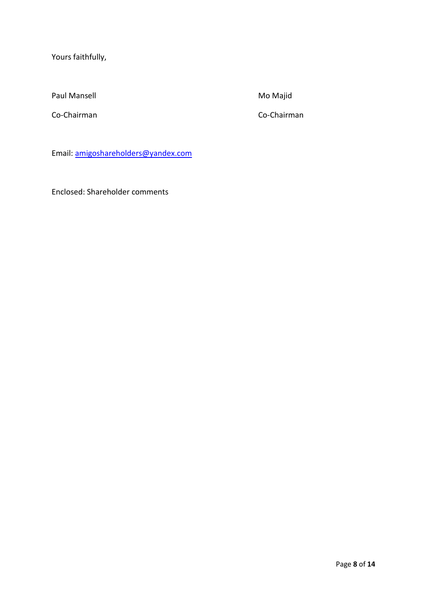Yours faithfully,

Paul Mansell **Mansell** Mo Majid

Co-Chairman Co-Chairman

Email: [amigoshareholders@yandex.com](mailto:amigoshareholders@yandex.com)

Enclosed: Shareholder comments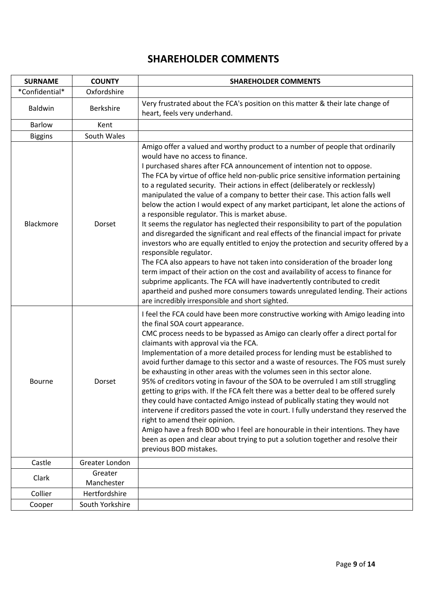# **SHAREHOLDER COMMENTS**

| <b>SURNAME</b> | <b>COUNTY</b>         | <b>SHAREHOLDER COMMENTS</b>                                                                                                                                                                                                                                                                                                                                                                                                                                                                                                                                                                                                                                                                                                                                                                                                                                                                                                                                                                                                                                                                                                                                                                                                                                                             |
|----------------|-----------------------|-----------------------------------------------------------------------------------------------------------------------------------------------------------------------------------------------------------------------------------------------------------------------------------------------------------------------------------------------------------------------------------------------------------------------------------------------------------------------------------------------------------------------------------------------------------------------------------------------------------------------------------------------------------------------------------------------------------------------------------------------------------------------------------------------------------------------------------------------------------------------------------------------------------------------------------------------------------------------------------------------------------------------------------------------------------------------------------------------------------------------------------------------------------------------------------------------------------------------------------------------------------------------------------------|
| *Confidential* | Oxfordshire           |                                                                                                                                                                                                                                                                                                                                                                                                                                                                                                                                                                                                                                                                                                                                                                                                                                                                                                                                                                                                                                                                                                                                                                                                                                                                                         |
| <b>Baldwin</b> | <b>Berkshire</b>      | Very frustrated about the FCA's position on this matter & their late change of<br>heart, feels very underhand.                                                                                                                                                                                                                                                                                                                                                                                                                                                                                                                                                                                                                                                                                                                                                                                                                                                                                                                                                                                                                                                                                                                                                                          |
| <b>Barlow</b>  | Kent                  |                                                                                                                                                                                                                                                                                                                                                                                                                                                                                                                                                                                                                                                                                                                                                                                                                                                                                                                                                                                                                                                                                                                                                                                                                                                                                         |
| <b>Biggins</b> | South Wales           |                                                                                                                                                                                                                                                                                                                                                                                                                                                                                                                                                                                                                                                                                                                                                                                                                                                                                                                                                                                                                                                                                                                                                                                                                                                                                         |
| Blackmore      | Dorset                | Amigo offer a valued and worthy product to a number of people that ordinarily<br>would have no access to finance.<br>I purchased shares after FCA announcement of intention not to oppose.<br>The FCA by virtue of office held non-public price sensitive information pertaining<br>to a regulated security. Their actions in effect (deliberately or recklessly)<br>manipulated the value of a company to better their case. This action falls well<br>below the action I would expect of any market participant, let alone the actions of<br>a responsible regulator. This is market abuse.<br>It seems the regulator has neglected their responsibility to part of the population<br>and disregarded the significant and real effects of the financial impact for private<br>investors who are equally entitled to enjoy the protection and security offered by a<br>responsible regulator.<br>The FCA also appears to have not taken into consideration of the broader long<br>term impact of their action on the cost and availability of access to finance for<br>subprime applicants. The FCA will have inadvertently contributed to credit<br>apartheid and pushed more consumers towards unregulated lending. Their actions<br>are incredibly irresponsible and short sighted. |
| <b>Bourne</b>  | Dorset                | I feel the FCA could have been more constructive working with Amigo leading into<br>the final SOA court appearance.<br>CMC process needs to be bypassed as Amigo can clearly offer a direct portal for<br>claimants with approval via the FCA.<br>Implementation of a more detailed process for lending must be established to<br>avoid further damage to this sector and a waste of resources. The FOS must surely<br>be exhausting in other areas with the volumes seen in this sector alone.<br>95% of creditors voting in favour of the SOA to be overruled I am still struggling<br>getting to grips with. If the FCA felt there was a better deal to be offered surely<br>they could have contacted Amigo instead of publically stating they would not<br>intervene if creditors passed the vote in court. I fully understand they reserved the<br>right to amend their opinion.<br>Amigo have a fresh BOD who I feel are honourable in their intentions. They have<br>been as open and clear about trying to put a solution together and resolve their<br>previous BOD mistakes.                                                                                                                                                                                                 |
| Castle         | Greater London        |                                                                                                                                                                                                                                                                                                                                                                                                                                                                                                                                                                                                                                                                                                                                                                                                                                                                                                                                                                                                                                                                                                                                                                                                                                                                                         |
| Clark          | Greater<br>Manchester |                                                                                                                                                                                                                                                                                                                                                                                                                                                                                                                                                                                                                                                                                                                                                                                                                                                                                                                                                                                                                                                                                                                                                                                                                                                                                         |
| Collier        | Hertfordshire         |                                                                                                                                                                                                                                                                                                                                                                                                                                                                                                                                                                                                                                                                                                                                                                                                                                                                                                                                                                                                                                                                                                                                                                                                                                                                                         |
| Cooper         | South Yorkshire       |                                                                                                                                                                                                                                                                                                                                                                                                                                                                                                                                                                                                                                                                                                                                                                                                                                                                                                                                                                                                                                                                                                                                                                                                                                                                                         |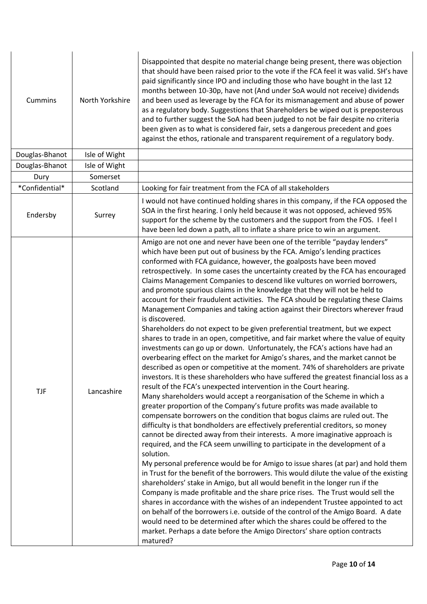| Cummins        | North Yorkshire | Disappointed that despite no material change being present, there was objection<br>that should have been raised prior to the vote if the FCA feel it was valid. SH's have<br>paid significantly since IPO and including those who have bought in the last 12<br>months between 10-30p, have not (And under SoA would not receive) dividends<br>and been used as leverage by the FCA for its mismanagement and abuse of power<br>as a regulatory body. Suggestions that Shareholders be wiped out is preposterous<br>and to further suggest the SoA had been judged to not be fair despite no criteria<br>been given as to what is considered fair, sets a dangerous precedent and goes<br>against the ethos, rationale and transparent requirement of a regulatory body.                                                                                                                                                                                                                                                                                                                                                                                                                                                                                                                                                                                                                                                                                                                                                                                                                                                                                                                                                                                                                                                                                                                                                                                                                                                                                                                                                                                                                                                                                                                                                                                                                                                                                            |
|----------------|-----------------|---------------------------------------------------------------------------------------------------------------------------------------------------------------------------------------------------------------------------------------------------------------------------------------------------------------------------------------------------------------------------------------------------------------------------------------------------------------------------------------------------------------------------------------------------------------------------------------------------------------------------------------------------------------------------------------------------------------------------------------------------------------------------------------------------------------------------------------------------------------------------------------------------------------------------------------------------------------------------------------------------------------------------------------------------------------------------------------------------------------------------------------------------------------------------------------------------------------------------------------------------------------------------------------------------------------------------------------------------------------------------------------------------------------------------------------------------------------------------------------------------------------------------------------------------------------------------------------------------------------------------------------------------------------------------------------------------------------------------------------------------------------------------------------------------------------------------------------------------------------------------------------------------------------------------------------------------------------------------------------------------------------------------------------------------------------------------------------------------------------------------------------------------------------------------------------------------------------------------------------------------------------------------------------------------------------------------------------------------------------------------------------------------------------------------------------------------------------------|
| Douglas-Bhanot | Isle of Wight   |                                                                                                                                                                                                                                                                                                                                                                                                                                                                                                                                                                                                                                                                                                                                                                                                                                                                                                                                                                                                                                                                                                                                                                                                                                                                                                                                                                                                                                                                                                                                                                                                                                                                                                                                                                                                                                                                                                                                                                                                                                                                                                                                                                                                                                                                                                                                                                                                                                                                     |
| Douglas-Bhanot | Isle of Wight   |                                                                                                                                                                                                                                                                                                                                                                                                                                                                                                                                                                                                                                                                                                                                                                                                                                                                                                                                                                                                                                                                                                                                                                                                                                                                                                                                                                                                                                                                                                                                                                                                                                                                                                                                                                                                                                                                                                                                                                                                                                                                                                                                                                                                                                                                                                                                                                                                                                                                     |
| Dury           | Somerset        |                                                                                                                                                                                                                                                                                                                                                                                                                                                                                                                                                                                                                                                                                                                                                                                                                                                                                                                                                                                                                                                                                                                                                                                                                                                                                                                                                                                                                                                                                                                                                                                                                                                                                                                                                                                                                                                                                                                                                                                                                                                                                                                                                                                                                                                                                                                                                                                                                                                                     |
| *Confidential* | Scotland        | Looking for fair treatment from the FCA of all stakeholders                                                                                                                                                                                                                                                                                                                                                                                                                                                                                                                                                                                                                                                                                                                                                                                                                                                                                                                                                                                                                                                                                                                                                                                                                                                                                                                                                                                                                                                                                                                                                                                                                                                                                                                                                                                                                                                                                                                                                                                                                                                                                                                                                                                                                                                                                                                                                                                                         |
| Endersby       | Surrey          | I would not have continued holding shares in this company, if the FCA opposed the<br>SOA in the first hearing. I only held because it was not opposed, achieved 95%<br>support for the scheme by the customers and the support from the FOS. I feel I<br>have been led down a path, all to inflate a share price to win an argument.                                                                                                                                                                                                                                                                                                                                                                                                                                                                                                                                                                                                                                                                                                                                                                                                                                                                                                                                                                                                                                                                                                                                                                                                                                                                                                                                                                                                                                                                                                                                                                                                                                                                                                                                                                                                                                                                                                                                                                                                                                                                                                                                |
| <b>TJF</b>     | Lancashire      | Amigo are not one and never have been one of the terrible "payday lenders"<br>which have been put out of business by the FCA. Amigo's lending practices<br>conformed with FCA guidance, however, the goalposts have been moved<br>retrospectively. In some cases the uncertainty created by the FCA has encouraged<br>Claims Management Companies to descend like vultures on worried borrowers,<br>and promote spurious claims in the knowledge that they will not be held to<br>account for their fraudulent activities. The FCA should be regulating these Claims<br>Management Companies and taking action against their Directors wherever fraud<br>is discovered.<br>Shareholders do not expect to be given preferential treatment, but we expect<br>shares to trade in an open, competitive, and fair market where the value of equity<br>investments can go up or down. Unfortunately, the FCA's actions have had an<br>overbearing effect on the market for Amigo's shares, and the market cannot be<br>described as open or competitive at the moment. 74% of shareholders are private<br>investors. It is these shareholders who have suffered the greatest financial loss as a<br>result of the FCA's unexpected intervention in the Court hearing.<br>Many shareholders would accept a reorganisation of the Scheme in which a<br>greater proportion of the Company's future profits was made available to<br>compensate borrowers on the condition that bogus claims are ruled out. The<br>difficulty is that bondholders are effectively preferential creditors, so money<br>cannot be directed away from their interests. A more imaginative approach is<br>required, and the FCA seem unwilling to participate in the development of a<br>solution.<br>My personal preference would be for Amigo to issue shares (at par) and hold them<br>in Trust for the benefit of the borrowers. This would dilute the value of the existing<br>shareholders' stake in Amigo, but all would benefit in the longer run if the<br>Company is made profitable and the share price rises. The Trust would sell the<br>shares in accordance with the wishes of an independent Trustee appointed to act<br>on behalf of the borrowers i.e. outside of the control of the Amigo Board. A date<br>would need to be determined after which the shares could be offered to the<br>market. Perhaps a date before the Amigo Directors' share option contracts<br>matured? |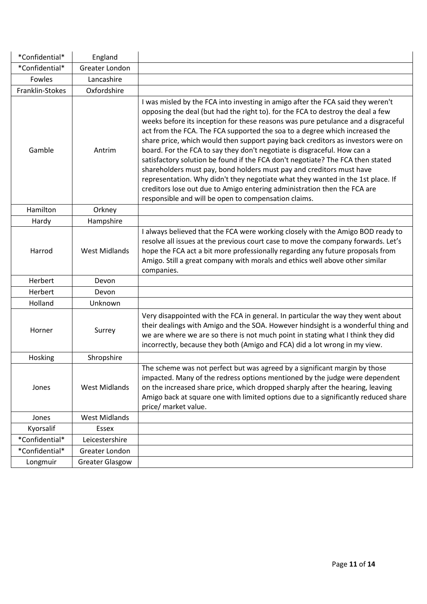| *Confidential*  | England                |                                                                                                                                                                                                                                                                                                                                                                                                                                                                                                                                                                                                                                                                                                                                                                                                                                                                                         |
|-----------------|------------------------|-----------------------------------------------------------------------------------------------------------------------------------------------------------------------------------------------------------------------------------------------------------------------------------------------------------------------------------------------------------------------------------------------------------------------------------------------------------------------------------------------------------------------------------------------------------------------------------------------------------------------------------------------------------------------------------------------------------------------------------------------------------------------------------------------------------------------------------------------------------------------------------------|
| *Confidential*  | Greater London         |                                                                                                                                                                                                                                                                                                                                                                                                                                                                                                                                                                                                                                                                                                                                                                                                                                                                                         |
| Fowles          | Lancashire             |                                                                                                                                                                                                                                                                                                                                                                                                                                                                                                                                                                                                                                                                                                                                                                                                                                                                                         |
| Franklin-Stokes | Oxfordshire            |                                                                                                                                                                                                                                                                                                                                                                                                                                                                                                                                                                                                                                                                                                                                                                                                                                                                                         |
| Gamble          | Antrim                 | I was misled by the FCA into investing in amigo after the FCA said they weren't<br>opposing the deal (but had the right to). for the FCA to destroy the deal a few<br>weeks before its inception for these reasons was pure petulance and a disgraceful<br>act from the FCA. The FCA supported the soa to a degree which increased the<br>share price, which would then support paying back creditors as investors were on<br>board. For the FCA to say they don't negotiate is disgraceful. How can a<br>satisfactory solution be found if the FCA don't negotiate? The FCA then stated<br>shareholders must pay, bond holders must pay and creditors must have<br>representation. Why didn't they negotiate what they wanted in the 1st place. If<br>creditors lose out due to Amigo entering administration then the FCA are<br>responsible and will be open to compensation claims. |
| Hamilton        | Orkney                 |                                                                                                                                                                                                                                                                                                                                                                                                                                                                                                                                                                                                                                                                                                                                                                                                                                                                                         |
| Hardy           | Hampshire              |                                                                                                                                                                                                                                                                                                                                                                                                                                                                                                                                                                                                                                                                                                                                                                                                                                                                                         |
| Harrod          | <b>West Midlands</b>   | I always believed that the FCA were working closely with the Amigo BOD ready to<br>resolve all issues at the previous court case to move the company forwards. Let's<br>hope the FCA act a bit more professionally regarding any future proposals from<br>Amigo. Still a great company with morals and ethics well above other similar<br>companies.                                                                                                                                                                                                                                                                                                                                                                                                                                                                                                                                    |
| Herbert         | Devon                  |                                                                                                                                                                                                                                                                                                                                                                                                                                                                                                                                                                                                                                                                                                                                                                                                                                                                                         |
| Herbert         | Devon                  |                                                                                                                                                                                                                                                                                                                                                                                                                                                                                                                                                                                                                                                                                                                                                                                                                                                                                         |
| Holland         | Unknown                |                                                                                                                                                                                                                                                                                                                                                                                                                                                                                                                                                                                                                                                                                                                                                                                                                                                                                         |
| Horner          | Surrey                 | Very disappointed with the FCA in general. In particular the way they went about<br>their dealings with Amigo and the SOA. However hindsight is a wonderful thing and<br>we are where we are so there is not much point in stating what I think they did<br>incorrectly, because they both (Amigo and FCA) did a lot wrong in my view.                                                                                                                                                                                                                                                                                                                                                                                                                                                                                                                                                  |
| Hosking         | Shropshire             |                                                                                                                                                                                                                                                                                                                                                                                                                                                                                                                                                                                                                                                                                                                                                                                                                                                                                         |
| Jones           | <b>West Midlands</b>   | The scheme was not perfect but was agreed by a significant margin by those<br>impacted. Many of the redress options mentioned by the judge were dependent<br>on the increased share price, which dropped sharply after the hearing, leaving<br>Amigo back at square one with limited options due to a significantly reduced share<br>price/ market value.                                                                                                                                                                                                                                                                                                                                                                                                                                                                                                                               |
| Jones           | <b>West Midlands</b>   |                                                                                                                                                                                                                                                                                                                                                                                                                                                                                                                                                                                                                                                                                                                                                                                                                                                                                         |
| Kyorsalif       | <b>Essex</b>           |                                                                                                                                                                                                                                                                                                                                                                                                                                                                                                                                                                                                                                                                                                                                                                                                                                                                                         |
| *Confidential*  | Leicestershire         |                                                                                                                                                                                                                                                                                                                                                                                                                                                                                                                                                                                                                                                                                                                                                                                                                                                                                         |
| *Confidential*  | Greater London         |                                                                                                                                                                                                                                                                                                                                                                                                                                                                                                                                                                                                                                                                                                                                                                                                                                                                                         |
| Longmuir        | <b>Greater Glasgow</b> |                                                                                                                                                                                                                                                                                                                                                                                                                                                                                                                                                                                                                                                                                                                                                                                                                                                                                         |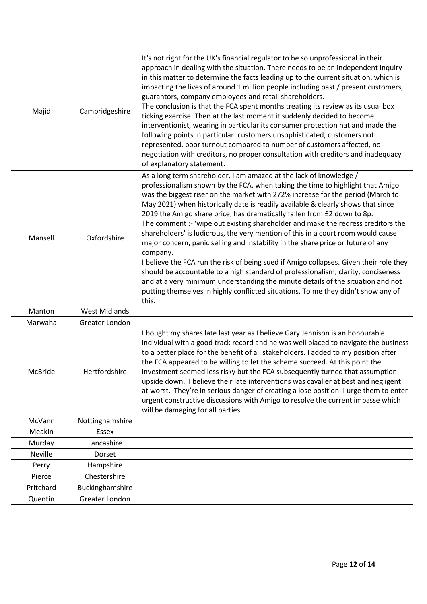| Majid     | Cambridgeshire       | It's not right for the UK's financial regulator to be so unprofessional in their<br>approach in dealing with the situation. There needs to be an independent inquiry<br>in this matter to determine the facts leading up to the current situation, which is<br>impacting the lives of around 1 million people including past / present customers,<br>guarantors, company employees and retail shareholders.<br>The conclusion is that the FCA spent months treating its review as its usual box<br>ticking exercise. Then at the last moment it suddenly decided to become<br>interventionist, wearing in particular its consumer protection hat and made the<br>following points in particular: customers unsophisticated, customers not<br>represented, poor turnout compared to number of customers affected, no<br>negotiation with creditors, no proper consultation with creditors and inadequacy<br>of explanatory statement.                                                                                                           |
|-----------|----------------------|------------------------------------------------------------------------------------------------------------------------------------------------------------------------------------------------------------------------------------------------------------------------------------------------------------------------------------------------------------------------------------------------------------------------------------------------------------------------------------------------------------------------------------------------------------------------------------------------------------------------------------------------------------------------------------------------------------------------------------------------------------------------------------------------------------------------------------------------------------------------------------------------------------------------------------------------------------------------------------------------------------------------------------------------|
| Mansell   | Oxfordshire          | As a long term shareholder, I am amazed at the lack of knowledge /<br>professionalism shown by the FCA, when taking the time to highlight that Amigo<br>was the biggest riser on the market with 272% increase for the period (March to<br>May 2021) when historically date is readily available & clearly shows that since<br>2019 the Amigo share price, has dramatically fallen from £2 down to 8p.<br>The comment :- 'wipe out existing shareholder and make the redress creditors the<br>shareholders' is ludicrous, the very mention of this in a court room would cause<br>major concern, panic selling and instability in the share price or future of any<br>company.<br>I believe the FCA run the risk of being sued if Amigo collapses. Given their role they<br>should be accountable to a high standard of professionalism, clarity, conciseness<br>and at a very minimum understanding the minute details of the situation and not<br>putting themselves in highly conflicted situations. To me they didn't show any of<br>this. |
| Manton    | <b>West Midlands</b> |                                                                                                                                                                                                                                                                                                                                                                                                                                                                                                                                                                                                                                                                                                                                                                                                                                                                                                                                                                                                                                                |
| Marwaha   | Greater London       |                                                                                                                                                                                                                                                                                                                                                                                                                                                                                                                                                                                                                                                                                                                                                                                                                                                                                                                                                                                                                                                |
| McBride   | Hertfordshire        | I bought my shares late last year as I believe Gary Jennison is an honourable<br>individual with a good track record and he was well placed to navigate the business<br>to a better place for the benefit of all stakeholders. I added to my position after<br>the FCA appeared to be willing to let the scheme succeed. At this point the<br>investment seemed less risky but the FCA subsequently turned that assumption<br>upside down. I believe their late interventions was cavalier at best and negligent<br>at worst. They're in serious danger of creating a lose position. I urge them to enter<br>urgent constructive discussions with Amigo to resolve the current impasse which<br>will be damaging for all parties.                                                                                                                                                                                                                                                                                                              |
| McVann    | Nottinghamshire      |                                                                                                                                                                                                                                                                                                                                                                                                                                                                                                                                                                                                                                                                                                                                                                                                                                                                                                                                                                                                                                                |
| Meakin    | Essex                |                                                                                                                                                                                                                                                                                                                                                                                                                                                                                                                                                                                                                                                                                                                                                                                                                                                                                                                                                                                                                                                |
| Murday    | Lancashire           |                                                                                                                                                                                                                                                                                                                                                                                                                                                                                                                                                                                                                                                                                                                                                                                                                                                                                                                                                                                                                                                |
| Neville   | Dorset               |                                                                                                                                                                                                                                                                                                                                                                                                                                                                                                                                                                                                                                                                                                                                                                                                                                                                                                                                                                                                                                                |
| Perry     | Hampshire            |                                                                                                                                                                                                                                                                                                                                                                                                                                                                                                                                                                                                                                                                                                                                                                                                                                                                                                                                                                                                                                                |
| Pierce    | Chestershire         |                                                                                                                                                                                                                                                                                                                                                                                                                                                                                                                                                                                                                                                                                                                                                                                                                                                                                                                                                                                                                                                |
| Pritchard | Buckinghamshire      |                                                                                                                                                                                                                                                                                                                                                                                                                                                                                                                                                                                                                                                                                                                                                                                                                                                                                                                                                                                                                                                |
| Quentin   | Greater London       |                                                                                                                                                                                                                                                                                                                                                                                                                                                                                                                                                                                                                                                                                                                                                                                                                                                                                                                                                                                                                                                |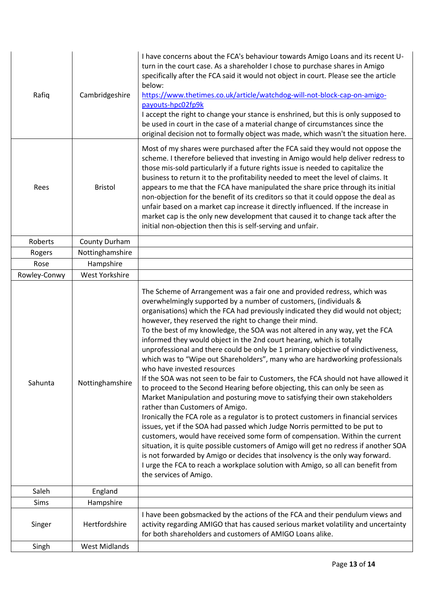| Rafiq        | Cambridgeshire       | I have concerns about the FCA's behaviour towards Amigo Loans and its recent U-<br>turn in the court case. As a shareholder I chose to purchase shares in Amigo<br>specifically after the FCA said it would not object in court. Please see the article<br>below:<br>https://www.thetimes.co.uk/article/watchdog-will-not-block-cap-on-amigo-<br>payouts-hpc02fp9k<br>I accept the right to change your stance is enshrined, but this is only supposed to<br>be used in court in the case of a material change of circumstances since the<br>original decision not to formally object was made, which wasn't the situation here.                                                                                                                                                                                                                                                                                                                                                                                                                                                                                                                                                                                                                                                                                                                                                                                                                                                               |
|--------------|----------------------|------------------------------------------------------------------------------------------------------------------------------------------------------------------------------------------------------------------------------------------------------------------------------------------------------------------------------------------------------------------------------------------------------------------------------------------------------------------------------------------------------------------------------------------------------------------------------------------------------------------------------------------------------------------------------------------------------------------------------------------------------------------------------------------------------------------------------------------------------------------------------------------------------------------------------------------------------------------------------------------------------------------------------------------------------------------------------------------------------------------------------------------------------------------------------------------------------------------------------------------------------------------------------------------------------------------------------------------------------------------------------------------------------------------------------------------------------------------------------------------------|
| Rees         | <b>Bristol</b>       | Most of my shares were purchased after the FCA said they would not oppose the<br>scheme. I therefore believed that investing in Amigo would help deliver redress to<br>those mis-sold particularly if a future rights issue is needed to capitalize the<br>business to return it to the profitability needed to meet the level of claims. It<br>appears to me that the FCA have manipulated the share price through its initial<br>non-objection for the benefit of its creditors so that it could oppose the deal as<br>unfair based on a market cap increase it directly influenced. If the increase in<br>market cap is the only new development that caused it to change tack after the<br>initial non-objection then this is self-serving and unfair.                                                                                                                                                                                                                                                                                                                                                                                                                                                                                                                                                                                                                                                                                                                                     |
| Roberts      | County Durham        |                                                                                                                                                                                                                                                                                                                                                                                                                                                                                                                                                                                                                                                                                                                                                                                                                                                                                                                                                                                                                                                                                                                                                                                                                                                                                                                                                                                                                                                                                                |
| Rogers       | Nottinghamshire      |                                                                                                                                                                                                                                                                                                                                                                                                                                                                                                                                                                                                                                                                                                                                                                                                                                                                                                                                                                                                                                                                                                                                                                                                                                                                                                                                                                                                                                                                                                |
| Rose         | Hampshire            |                                                                                                                                                                                                                                                                                                                                                                                                                                                                                                                                                                                                                                                                                                                                                                                                                                                                                                                                                                                                                                                                                                                                                                                                                                                                                                                                                                                                                                                                                                |
| Rowley-Conwy | West Yorkshire       |                                                                                                                                                                                                                                                                                                                                                                                                                                                                                                                                                                                                                                                                                                                                                                                                                                                                                                                                                                                                                                                                                                                                                                                                                                                                                                                                                                                                                                                                                                |
| Sahunta      | Nottinghamshire      | The Scheme of Arrangement was a fair one and provided redress, which was<br>overwhelmingly supported by a number of customers, (individuals &<br>organisations) which the FCA had previously indicated they did would not object;<br>however, they reserved the right to change their mind.<br>To the best of my knowledge, the SOA was not altered in any way, yet the FCA<br>informed they would object in the 2nd court hearing, which is totally<br>unprofessional and there could be only be 1 primary objective of vindictiveness,<br>which was to "Wipe out Shareholders", many who are hardworking professionals<br>who have invested resources<br>If the SOA was not seen to be fair to Customers, the FCA should not have allowed it<br>to proceed to the Second Hearing before objecting, this can only be seen as<br>Market Manipulation and posturing move to satisfying their own stakeholders<br>rather than Customers of Amigo.<br>Ironically the FCA role as a regulator is to protect customers in financial services<br>issues, yet if the SOA had passed which Judge Norris permitted to be put to<br>customers, would have received some form of compensation. Within the current<br>situation, it is quite possible customers of Amigo will get no redress if another SOA<br>is not forwarded by Amigo or decides that insolvency is the only way forward.<br>I urge the FCA to reach a workplace solution with Amigo, so all can benefit from<br>the services of Amigo. |
| Saleh        | England              |                                                                                                                                                                                                                                                                                                                                                                                                                                                                                                                                                                                                                                                                                                                                                                                                                                                                                                                                                                                                                                                                                                                                                                                                                                                                                                                                                                                                                                                                                                |
| Sims         | Hampshire            |                                                                                                                                                                                                                                                                                                                                                                                                                                                                                                                                                                                                                                                                                                                                                                                                                                                                                                                                                                                                                                                                                                                                                                                                                                                                                                                                                                                                                                                                                                |
| Singer       | Hertfordshire        | I have been gobsmacked by the actions of the FCA and their pendulum views and<br>activity regarding AMIGO that has caused serious market volatility and uncertainty<br>for both shareholders and customers of AMIGO Loans alike.                                                                                                                                                                                                                                                                                                                                                                                                                                                                                                                                                                                                                                                                                                                                                                                                                                                                                                                                                                                                                                                                                                                                                                                                                                                               |
| Singh        | <b>West Midlands</b> |                                                                                                                                                                                                                                                                                                                                                                                                                                                                                                                                                                                                                                                                                                                                                                                                                                                                                                                                                                                                                                                                                                                                                                                                                                                                                                                                                                                                                                                                                                |